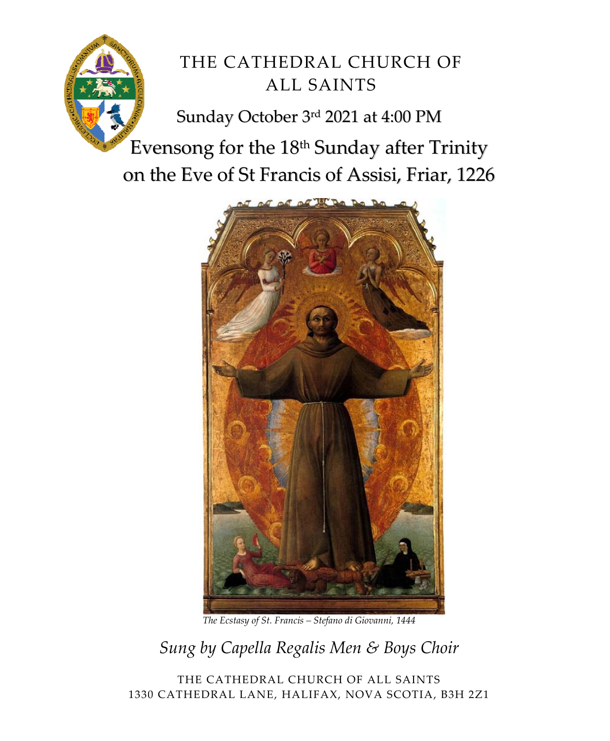

# THE CATHEDRAL CHURCH OF ALL SAINTS

Sunday October 3rd 2021 at 4:00 PM

Evensong for the 18<sup>th</sup> Sunday after Trinity on the Eve of St Francis of Assisi, Friar, 1226



*The Ecstasy of St. Francis – Stefano di Giovanni, 1444*

*Sung by Capella Regalis Men & Boys Choir* 

THE CATHEDRAL CHURCH OF ALL SAINTS 1330 CATHEDRAL LANE, HALIFAX, NOVA SCOTIA, B3H 2Z1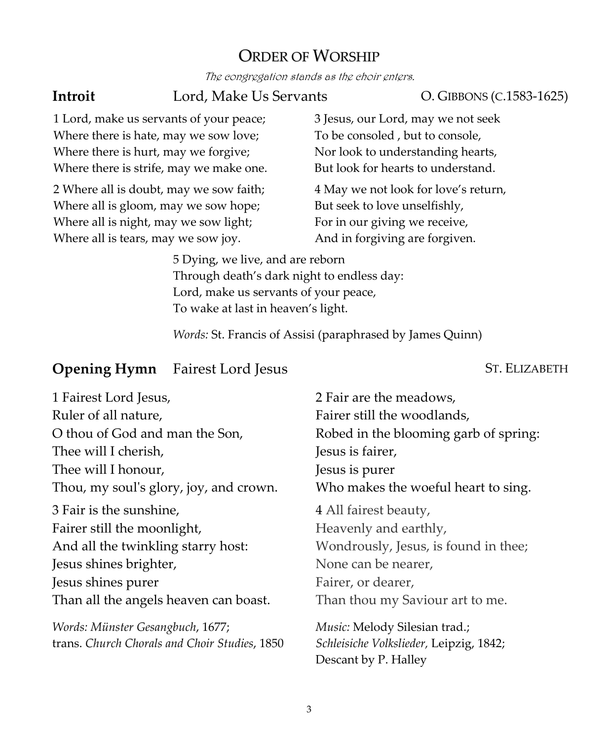### ORDER OF WORSHIP

The congregation stands as the choir enters.

**Introit** Lord, Make Us Servants O. GIBBONS (C.1583-1625)

1 Lord, make us servants of your peace; Where there is hate, may we sow love; Where there is hurt, may we forgive; Where there is strife, may we make one.

2 Where all is doubt, may we sow faith; Where all is gloom, may we sow hope; Where all is night, may we sow light; Where all is tears, may we sow joy.

3 Jesus, our Lord, may we not seek To be consoled , but to console, Nor look to understanding hearts, But look for hearts to understand.

4 May we not look for love's return, But seek to love unselfishly, For in our giving we receive, And in forgiving are forgiven.

5 Dying, we live, and are reborn Through death's dark night to endless day: Lord, make us servants of your peace, To wake at last in heaven's light.

*Words:* St. Francis of Assisi (paraphrased by James Quinn)

#### **Opening Hymn** Fairest Lord Jesus ST. ELIZABETH

| 1 Fairest Lord Jesus,                         | 2 Fair are the meadows,                 |
|-----------------------------------------------|-----------------------------------------|
| Ruler of all nature,                          | Fairer still the woodlands,             |
| O thou of God and man the Son,                | Robed in the blooming garb of spring:   |
| Thee will I cherish,                          | Jesus is fairer,                        |
| Thee will I honour,                           | Jesus is purer                          |
| Thou, my soul's glory, joy, and crown.        | Who makes the woeful heart to sing.     |
| 3 Fair is the sunshine,                       | 4 All fairest beauty,                   |
| Fairer still the moonlight,                   | Heavenly and earthly,                   |
| And all the twinkling starry host:            | Wondrously, Jesus, is found in thee;    |
| Jesus shines brighter,                        | None can be nearer,                     |
| Jesus shines purer                            | Fairer, or dearer,                      |
| Than all the angels heaven can boast.         | Than thou my Saviour art to me.         |
| Words: Münster Gesangbuch, 1677;              | Music: Melody Silesian trad.;           |
| trans. Church Chorals and Choir Studies, 1850 | Schleisiche Volkslieder, Leipzig, 1842; |
|                                               | Descant by P. Halley                    |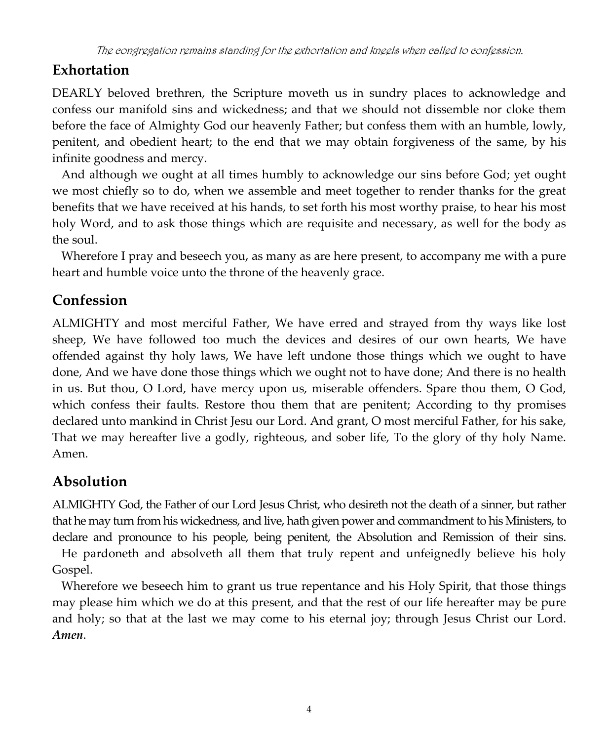## **Exhortation**

DEARLY beloved brethren, the Scripture moveth us in sundry places to acknowledge and confess our manifold sins and wickedness; and that we should not dissemble nor cloke them before the face of Almighty God our heavenly Father; but confess them with an humble, lowly, penitent, and obedient heart; to the end that we may obtain forgiveness of the same, by his infinite goodness and mercy.

 And although we ought at all times humbly to acknowledge our sins before God; yet ought we most chiefly so to do, when we assemble and meet together to render thanks for the great benefits that we have received at his hands, to set forth his most worthy praise, to hear his most holy Word, and to ask those things which are requisite and necessary, as well for the body as the soul.

 Wherefore I pray and beseech you, as many as are here present, to accompany me with a pure heart and humble voice unto the throne of the heavenly grace.

## **Confession**

ALMIGHTY and most merciful Father, We have erred and strayed from thy ways like lost sheep, We have followed too much the devices and desires of our own hearts, We have offended against thy holy laws, We have left undone those things which we ought to have done, And we have done those things which we ought not to have done; And there is no health in us. But thou, O Lord, have mercy upon us, miserable offenders. Spare thou them, O God, which confess their faults. Restore thou them that are penitent; According to thy promises declared unto mankind in Christ Jesu our Lord. And grant, O most merciful Father, for his sake, That we may hereafter live a godly, righteous, and sober life, To the glory of thy holy Name. Amen.

## **Absolution**

ALMIGHTY God, the Father of our Lord Jesus Christ, who desireth not the death of a sinner, but rather that he may turn from his wickedness, and live, hath given power and commandment to his Ministers, to declare and pronounce to his people, being penitent, the Absolution and Remission of their sins.

 He pardoneth and absolveth all them that truly repent and unfeignedly believe his holy Gospel.

 Wherefore we beseech him to grant us true repentance and his Holy Spirit, that those things may please him which we do at this present, and that the rest of our life hereafter may be pure and holy; so that at the last we may come to his eternal joy; through Jesus Christ our Lord. *Amen*.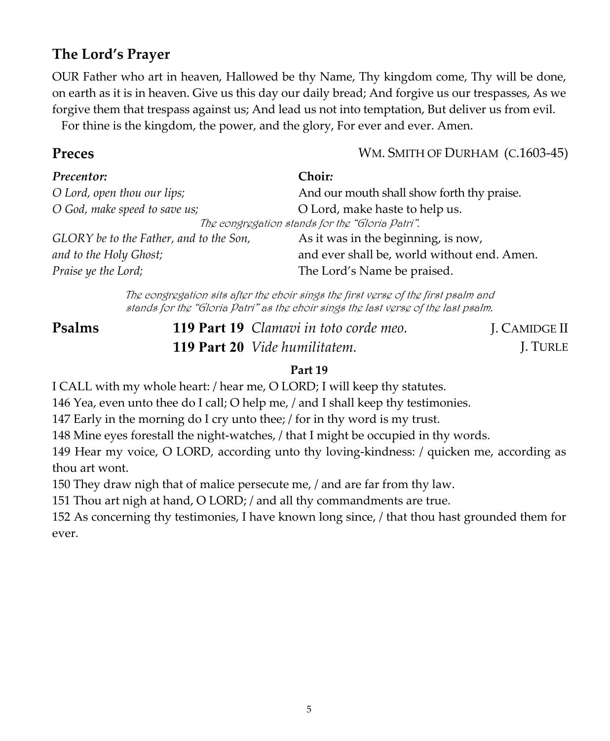### **The Lord's Prayer**

OUR Father who art in heaven, Hallowed be thy Name, Thy kingdom come, Thy will be done, on earth as it is in heaven. Give us this day our daily bread; And forgive us our trespasses, As we forgive them that trespass against us; And lead us not into temptation, But deliver us from evil. For thine is the kingdom, the power, and the glory, For ever and ever. Amen.

**Preces** WM. SMITH OF DURHAM (C.1603-45)

| Precentor:                                      | <b>Choir:</b>                               |
|-------------------------------------------------|---------------------------------------------|
| O Lord, open thou our lips;                     | And our mouth shall show forth thy praise.  |
| O God, make speed to save us;                   | O Lord, make haste to help us.              |
| The congregation stands for the "Gloria Patri". |                                             |
| GLORY be to the Father, and to the Son,         | As it was in the beginning, is now,         |
| and to the Holy Ghost;                          | and ever shall be, world without end. Amen. |
| Praise ye the Lord;                             | The Lord's Name be praised.                 |

The congregation sits after the choir sings the first verse of the first psalm and stands for the "Gloria Patri" as the choir sings the last verse of the last psalm.

**Psalms 119 Part 19** *Clamavi in toto corde meo.* **119 Part 20** *Vide humilitatem.*

J. CAMIDGE II J. TURLE

#### **Part 19**

I CALL with my whole heart: / hear me, O LORD; I will keep thy statutes.

146 Yea, even unto thee do I call; O help me, / and I shall keep thy testimonies.

147 Early in the morning do I cry unto thee; / for in thy word is my trust.

148 Mine eyes forestall the night‐watches, / that I might be occupied in thy words.

149 Hear my voice, O LORD, according unto thy loving‐kindness: / quicken me, according as thou art wont.

150 They draw nigh that of malice persecute me, / and are far from thy law.

151 Thou art nigh at hand, O LORD; / and all thy commandments are true.

152 As concerning thy testimonies, I have known long since, / that thou hast grounded them for ever.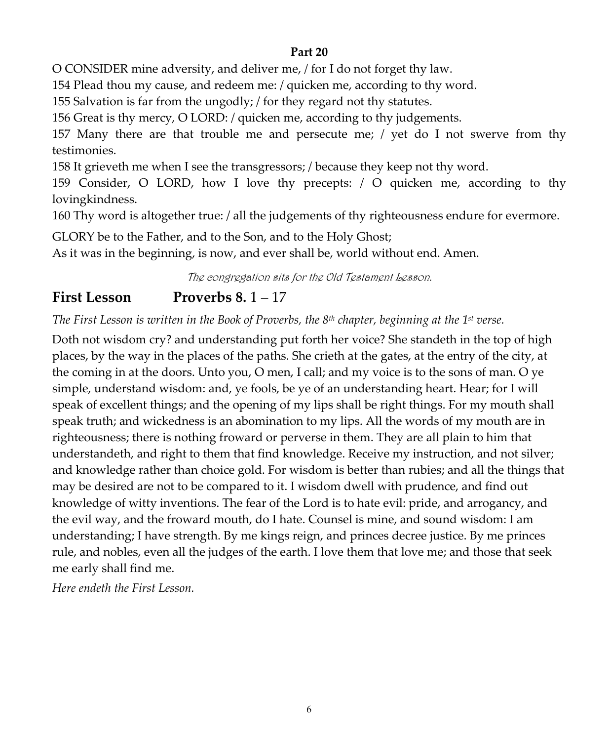#### **Part 20**

O CONSIDER mine adversity, and deliver me, / for I do not forget thy law.

154 Plead thou my cause, and redeem me: / quicken me, according to thy word.

155 Salvation is far from the ungodly; / for they regard not thy statutes.

156 Great is thy mercy, O LORD: / quicken me, according to thy judgements.

157 Many there are that trouble me and persecute me; / yet do I not swerve from thy testimonies.

158 It grieveth me when I see the transgressors; / because they keep not thy word.

159 Consider, O LORD, how I love thy precepts: / O quicken me, according to thy lovingkindness.

160 Thy word is altogether true: / all the judgements of thy righteousness endure for evermore.

GLORY be to the Father, and to the Son, and to the Holy Ghost;

As it was in the beginning, is now, and ever shall be, world without end. Amen.

The congregation sits for the Old Testament Lesson.

## **First Lesson Proverbs 8.** 1 – 17

*The First Lesson is written in the Book of Proverbs, the 8th chapter, beginning at the 1st verse.*

Doth not wisdom cry? and understanding put forth her voice? She standeth in the top of high places, by the way in the places of the paths. She crieth at the gates, at the entry of the city, at the coming in at the doors. Unto you, O men, I call; and my voice is to the sons of man. O ye simple, understand wisdom: and, ye fools, be ye of an understanding heart. Hear; for I will speak of excellent things; and the opening of my lips shall be right things. For my mouth shall speak truth; and wickedness is an abomination to my lips. All the words of my mouth are in righteousness; there is nothing froward or perverse in them. They are all plain to him that understandeth, and right to them that find knowledge. Receive my instruction, and not silver; and knowledge rather than choice gold. For wisdom is better than rubies; and all the things that may be desired are not to be compared to it. I wisdom dwell with prudence, and find out knowledge of witty inventions. The fear of the Lord is to hate evil: pride, and arrogancy, and the evil way, and the froward mouth, do I hate. Counsel is mine, and sound wisdom: I am understanding; I have strength. By me kings reign, and princes decree justice. By me princes rule, and nobles, even all the judges of the earth. I love them that love me; and those that seek me early shall find me.

*Here endeth the First Lesson.*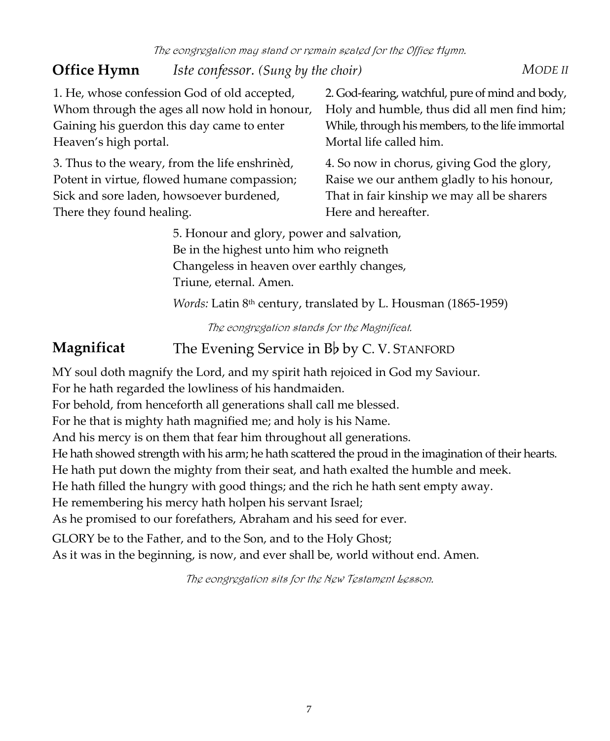# **Office Hymn** *Iste confessor. (Sung by the choir) MODE II*

1. He, whose confession God of old accepted, Whom through the ages all now hold in honour, Gaining his guerdon this day came to enter Heaven's high portal.

3. Thus to the weary, from the life enshrinèd, Potent in virtue, flowed humane compassion; Sick and sore laden, howsoever burdened, There they found healing.

2. God‐fearing, watchful, pure of mind and body, Holy and humble, thus did all men find him; While, through his members, to the life immortal Mortal life called him.

4. So now in chorus, giving God the glory, Raise we our anthem gladly to his honour, That in fair kinship we may all be sharers Here and hereafter.

5. Honour and glory, power and salvation, Be in the highest unto him who reigneth Changeless in heaven over earthly changes, Triune, eternal. Amen.

*Words:* Latin 8th century, translated by L. Housman (1865‐1959)

The congregation stands for the Magnificat.

## **Magnificat** The Evening Service in B<sub>b</sub> by C.V. STANFORD

MY soul doth magnify the Lord, and my spirit hath rejoiced in God my Saviour.

For he hath regarded the lowliness of his handmaiden.

For behold, from henceforth all generations shall call me blessed.

For he that is mighty hath magnified me; and holy is his Name.

And his mercy is on them that fear him throughout all generations.

He hath showed strength with his arm; he hath scattered the proud in the imagination of their hearts.

He hath put down the mighty from their seat, and hath exalted the humble and meek.

He hath filled the hungry with good things; and the rich he hath sent empty away.

He remembering his mercy hath holpen his servant Israel;

As he promised to our forefathers, Abraham and his seed for ever.

GLORY be to the Father, and to the Son, and to the Holy Ghost; As it was in the beginning, is now, and ever shall be, world without end. Amen.

The congregation sits for the New Testament Lesson.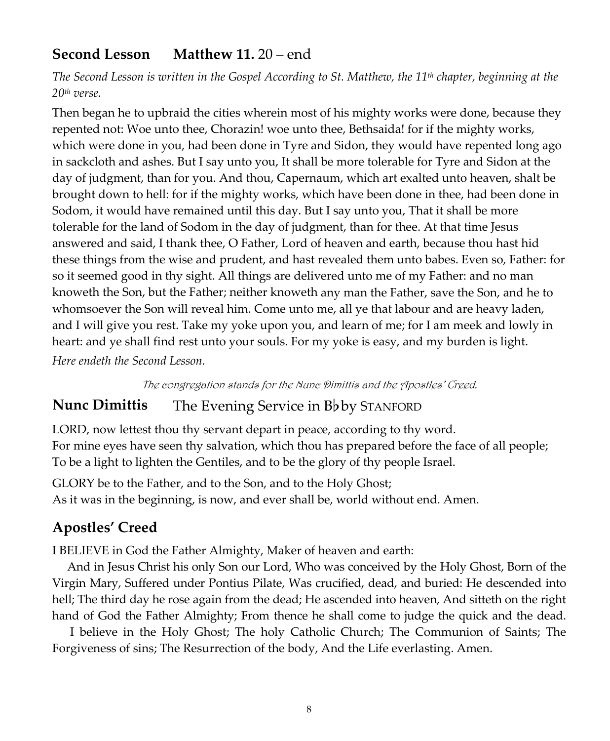### **Second Lesson Matthew 11.** 20 – end

The Second Lesson is written in the Gospel According to St. Matthew, the 11<sup>th</sup> chapter, beginning at the *20th verse.*

Then began he to upbraid the cities wherein most of his mighty works were done, because they repented not: Woe unto thee, Chorazin! woe unto thee, Bethsaida! for if the mighty works, which were done in you, had been done in Tyre and Sidon, they would have repented long ago in sackcloth and ashes. But I say unto you, It shall be more tolerable for Tyre and Sidon at the day of judgment, than for you. And thou, Capernaum, which art exalted unto heaven, shalt be brought down to hell: for if the mighty works, which have been done in thee, had been done in Sodom, it would have remained until this day. But I say unto you, That it shall be more tolerable for the land of Sodom in the day of judgment, than for thee. At that time Jesus answered and said, I thank thee, O Father, Lord of heaven and earth, because thou hast hid these things from the wise and prudent, and hast revealed them unto babes. Even so, Father: for so it seemed good in thy sight. All things are delivered unto me of my Father: and no man knoweth the Son, but the Father; neither knoweth any man the Father, save the Son, and he to whomsoever the Son will reveal him. Come unto me, all ye that labour and are heavy laden, and I will give you rest. Take my yoke upon you, and learn of me; for I am meek and lowly in heart: and ye shall find rest unto your souls. For my yoke is easy, and my burden is light.

*Here endeth the Second Lesson.*

The congregation stands for the Nunc Dimittis and the Apostles' Creed.

### **Nunc Dimittis** The Evening Service in B<sub>b</sub> by STANFORD

LORD, now lettest thou thy servant depart in peace, according to thy word. For mine eyes have seen thy salvation, which thou has prepared before the face of all people; To be a light to lighten the Gentiles, and to be the glory of thy people Israel.

GLORY be to the Father, and to the Son, and to the Holy Ghost; As it was in the beginning, is now, and ever shall be, world without end. Amen.

#### **Apostles' Creed**

I BELIEVE in God the Father Almighty, Maker of heaven and earth:

 And in Jesus Christ his only Son our Lord, Who was conceived by the Holy Ghost, Born of the Virgin Mary, Suffered under Pontius Pilate, Was crucified, dead, and buried: He descended into hell; The third day he rose again from the dead; He ascended into heaven, And sitteth on the right hand of God the Father Almighty; From thence he shall come to judge the quick and the dead.

 I believe in the Holy Ghost; The holy Catholic Church; The Communion of Saints; The Forgiveness of sins; The Resurrection of the body, And the Life everlasting. Amen.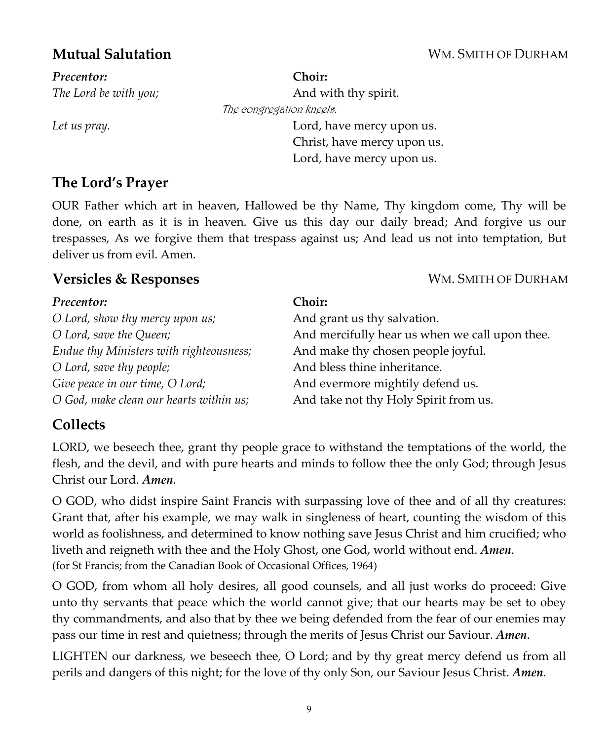#### **Mutual Salutation** WM. SMITH OF DURHAM

*Precentor:* *The Lord be with you;*

**Choir:** And with thy spirit. The congregation kneels. *Let us pray.* Lord, have mercy upon us. Christ, have mercy upon us. Lord, have mercy upon us.

### **The Lord's Prayer**

OUR Father which art in heaven, Hallowed be thy Name, Thy kingdom come, Thy will be done, on earth as it is in heaven. Give us this day our daily bread; And forgive us our trespasses, As we forgive them that trespass against us; And lead us not into temptation, But deliver us from evil. Amen.

#### **Versicles & Responses** WM. SMITH OF DURHAM

#### *Precentor: O Lord, show thy mercy upon us;* **Choir:** And grant us thy salvation. *O Lord, save the Queen;* And mercifully hear us when we call upon thee. *Endue thy Ministers with righteousness;* And make thy chosen people joyful. *O Lord, save thy people;* And bless thine inheritance. *Give peace in our time, O Lord;* And evermore mightily defend us. *O God, make clean our hearts within us;* And take not thy Holy Spirit from us.

### **Collects**

LORD, we beseech thee, grant thy people grace to withstand the temptations of the world, the flesh, and the devil, and with pure hearts and minds to follow thee the only God; through Jesus Christ our Lord. *Amen*.

O GOD, who didst inspire Saint Francis with surpassing love of thee and of all thy creatures: Grant that, after his example, we may walk in singleness of heart, counting the wisdom of this world as foolishness, and determined to know nothing save Jesus Christ and him crucified; who liveth and reigneth with thee and the Holy Ghost, one God, world without end. *Amen*. (for St Francis; from the Canadian Book of Occasional Offices, 1964)

O GOD, from whom all holy desires, all good counsels, and all just works do proceed: Give unto thy servants that peace which the world cannot give; that our hearts may be set to obey thy commandments, and also that by thee we being defended from the fear of our enemies may pass our time in rest and quietness; through the merits of Jesus Christ our Saviour. *Amen*.

LIGHTEN our darkness, we beseech thee, O Lord; and by thy great mercy defend us from all perils and dangers of this night; for the love of thy only Son, our Saviour Jesus Christ. *Amen*.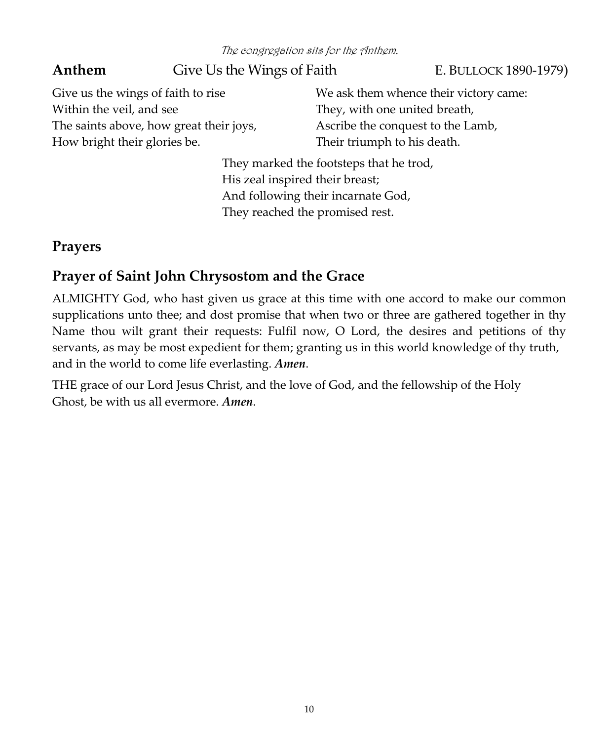The congregation sits for the Anthem.

Anthem Give Us the Wings of Faith E. BULLOCK 1890-1979) Give us the wings of faith to rise Within the veil, and see The saints above, how great their joys, How bright their glories be. We ask them whence their victory came: They, with one united breath, Ascribe the conquest to the Lamb, Their triumph to his death. They marked the footsteps that he trod,

His zeal inspired their breast; And following their incarnate God, They reached the promised rest.

### **Prayers**

## **Prayer of Saint John Chrysostom and the Grace**

ALMIGHTY God, who hast given us grace at this time with one accord to make our common supplications unto thee; and dost promise that when two or three are gathered together in thy Name thou wilt grant their requests: Fulfil now, O Lord, the desires and petitions of thy servants, as may be most expedient for them; granting us in this world knowledge of thy truth, and in the world to come life everlasting. *Amen*.

THE grace of our Lord Jesus Christ, and the love of God, and the fellowship of the Holy Ghost, be with us all evermore. *Amen*.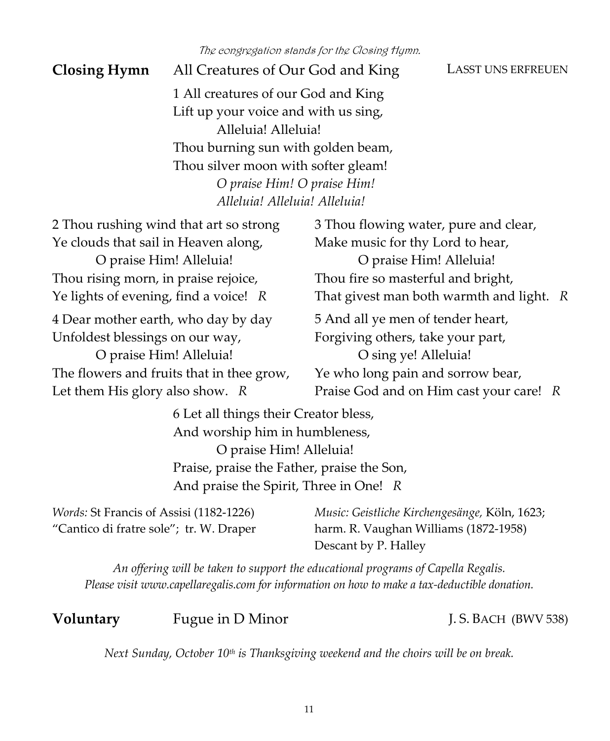The congregation stands for the Closing Hymn.

**Closing Hymn** All Creatures of Our God and King LASST UNS ERFREUEN

1 All creatures of our God and King Lift up your voice and with us sing, Alleluia! Alleluia! Thou burning sun with golden beam, Thou silver moon with softer gleam! *O praise Him! O praise Him! Alleluia! Alleluia! Alleluia!*

| 2 Thou rushing wind that art so strong    | 3 Thou flowing water, pure and clear,    |
|-------------------------------------------|------------------------------------------|
| Ye clouds that sail in Heaven along,      | Make music for thy Lord to hear,         |
| O praise Him! Alleluia!                   | O praise Him! Alleluia!                  |
| Thou rising morn, in praise rejoice,      | Thou fire so masterful and bright,       |
| Ye lights of evening, find a voice! $R$   | That givest man both warmth and light. R |
| 4 Dear mother earth, who day by day       | 5 And all ye men of tender heart,        |
| Unfoldest blessings on our way,           | Forgiving others, take your part,        |
| O praise Him! Alleluia!                   | O sing ye! Alleluia!                     |
| The flowers and fruits that in thee grow, | Ye who long pain and sorrow bear,        |
| Let them His glory also show. $R$         | Praise God and on Him cast your care! R  |
|                                           |                                          |

6 Let all things their Creator bless, And worship him in humbleness, O praise Him! Alleluia! Praise, praise the Father, praise the Son, And praise the Spirit, Three in One! *R*

*Words:* St Francis of Assisi (1182‐1226) "Cantico di fratre sole"; tr. W. Draper *Music: Geistliche Kirchengesänge,* Köln, 1623; harm. R. Vaughan Williams (1872‐1958) Descant by P. Halley

*An offering will be taken to support the educational programs of Capella Regalis. Please visit www.capellaregalis.com for information on how to make a tax‐deductible donation.*

#### **Voluntary** Fugue in D Minor J.S. BACH (BWV 538)

*Next Sunday, October 10th is Thanksgiving weekend and the choirs will be on break.*